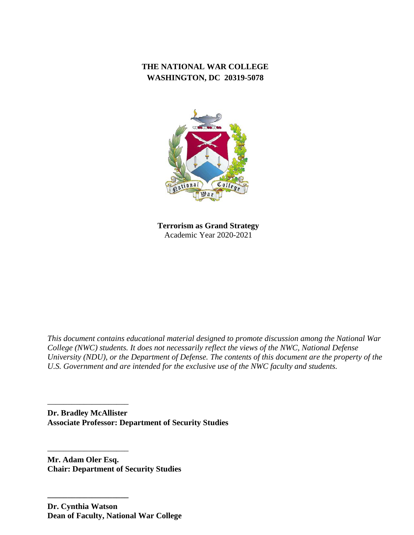# **THE NATIONAL WAR COLLEGE WASHINGTON, DC 20319-5078**



**Terrorism as Grand Strategy** Academic Year 2020-2021

*This document contains educational material designed to promote discussion among the National War College (NWC) students. It does not necessarily reflect the views of the NWC, National Defense University (NDU), or the Department of Defense. The contents of this document are the property of the U.S. Government and are intended for the exclusive use of the NWC faculty and students.*

**Dr. Bradley McAllister Associate Professor: Department of Security Studies**

**Mr. Adam Oler Esq. Chair: Department of Security Studies**

––––––––––––––––––––

––––––––––––––––––––

**––––––––––––––––––––**

**Dr. Cynthia Watson Dean of Faculty, National War College**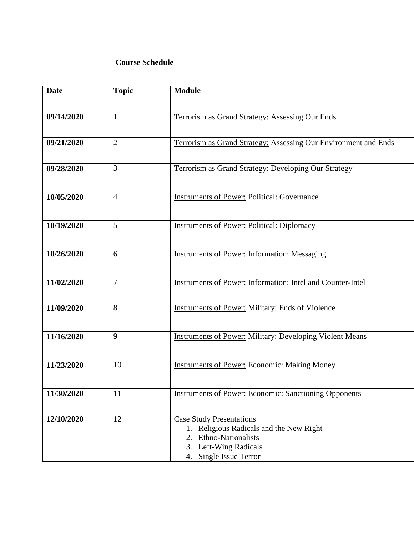# **Course Schedule**

| <b>Date</b> | <b>Topic</b>   | <b>Module</b>                                                                                                                                                |
|-------------|----------------|--------------------------------------------------------------------------------------------------------------------------------------------------------------|
| 09/14/2020  | $\mathbf{1}$   | Terrorism as Grand Strategy: Assessing Our Ends                                                                                                              |
| 09/21/2020  | $\overline{2}$ | Terrorism as Grand Strategy: Assessing Our Environment and Ends                                                                                              |
| 09/28/2020  | $\overline{3}$ | Terrorism as Grand Strategy: Developing Our Strategy                                                                                                         |
| 10/05/2020  | $\overline{4}$ | <b>Instruments of Power: Political: Governance</b>                                                                                                           |
| 10/19/2020  | 5              | <b>Instruments of Power: Political: Diplomacy</b>                                                                                                            |
| 10/26/2020  | 6              | <b>Instruments of Power: Information: Messaging</b>                                                                                                          |
| 11/02/2020  | $\overline{7}$ | <b>Instruments of Power: Information: Intel and Counter-Intel</b>                                                                                            |
| 11/09/2020  | 8              | <b>Instruments of Power: Military: Ends of Violence</b>                                                                                                      |
| 11/16/2020  | 9              | <b>Instruments of Power: Military: Developing Violent Means</b>                                                                                              |
| 11/23/2020  | 10             | <b>Instruments of Power: Economic: Making Money</b>                                                                                                          |
| 11/30/2020  | 11             | <b>Instruments of Power: Economic: Sanctioning Opponents</b>                                                                                                 |
| 12/10/2020  | 12             | <b>Case Study Presentations</b><br>Religious Radicals and the New Right<br>1.<br>2. Ethno-Nationalists<br>3. Left-Wing Radicals<br>Single Issue Terror<br>4. |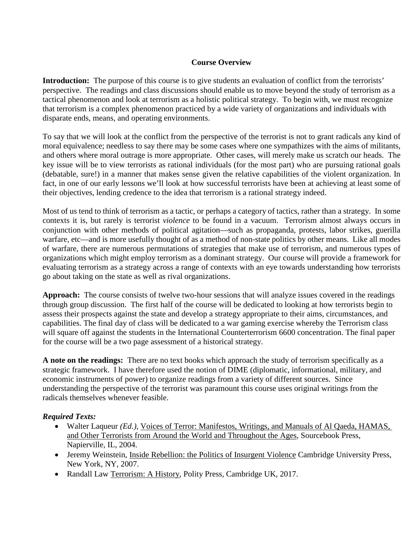# **Course Overview**

**Introduction:** The purpose of this course is to give students an evaluation of conflict from the terrorists' perspective. The readings and class discussions should enable us to move beyond the study of terrorism as a tactical phenomenon and look at terrorism as a holistic political strategy. To begin with, we must recognize that terrorism is a complex phenomenon practiced by a wide variety of organizations and individuals with disparate ends, means, and operating environments.

To say that we will look at the conflict from the perspective of the terrorist is not to grant radicals any kind of moral equivalence; needless to say there may be some cases where one sympathizes with the aims of militants, and others where moral outrage is more appropriate. Other cases, will merely make us scratch our heads. The key issue will be to view terrorists as rational individuals (for the most part) who are pursuing rational goals (debatable, sure!) in a manner that makes sense given the relative capabilities of the violent organization. In fact, in one of our early lessons we'll look at how successful terrorists have been at achieving at least some of their objectives, lending credence to the idea that terrorism is a rational strategy indeed.

Most of us tend to think of terrorism as a tactic, or perhaps a category of tactics, rather than a strategy. In some contexts it is, but rarely is terrorist *violence* to be found in a vacuum. Terrorism almost always occurs in conjunction with other methods of political agitation—such as propaganda, protests, labor strikes, guerilla warfare, etc—and is more usefully thought of as a method of non-state politics by other means. Like all modes of warfare, there are numerous permutations of strategies that make use of terrorism, and numerous types of organizations which might employ terrorism as a dominant strategy. Our course will provide a framework for evaluating terrorism as a strategy across a range of contexts with an eye towards understanding how terrorists go about taking on the state as well as rival organizations.

**Approach:** The course consists of twelve two-hour sessions that will analyze issues covered in the readings through group discussion. The first half of the course will be dedicated to looking at how terrorists begin to assess their prospects against the state and develop a strategy appropriate to their aims, circumstances, and capabilities. The final day of class will be dedicated to a war gaming exercise whereby the Terrorism class will square off against the students in the International Counterterrorism 6600 concentration. The final paper for the course will be a two page assessment of a historical strategy.

**A note on the readings:** There are no text books which approach the study of terrorism specifically as a strategic framework. I have therefore used the notion of DIME (diplomatic, informational, military, and economic instruments of power) to organize readings from a variety of different sources. Since understanding the perspective of the terrorist was paramount this course uses original writings from the radicals themselves whenever feasible.

# *Required Texts:*

- Walter Laqueur *(Ed.),* Voices of Terror: Manifestos, Writings, and Manuals of Al Qaeda, HAMAS, and Other Terrorists from Around the World and Throughout the Ages, Sourcebook Press, Napierville, IL, 2004.
- Jeremy Weinstein, Inside Rebellion: the Politics of Insurgent Violence Cambridge University Press, New York, NY, 2007.
- Randall Law Terrorism: A History, Polity Press, Cambridge UK, 2017.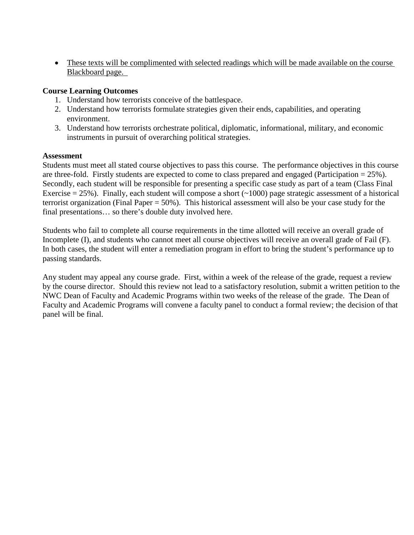• These texts will be complimented with selected readings which will be made available on the course Blackboard page.

### **Course Learning Outcomes**

- 1. Understand how terrorists conceive of the battlespace.
- 2. Understand how terrorists formulate strategies given their ends, capabilities, and operating environment.
- 3. Understand how terrorists orchestrate political, diplomatic, informational, military, and economic instruments in pursuit of overarching political strategies.

#### **Assessment**

Students must meet all stated course objectives to pass this course. The performance objectives in this course are three-fold. Firstly students are expected to come to class prepared and engaged (Participation  $= 25\%$ ). Secondly, each student will be responsible for presenting a specific case study as part of a team (Class Final Exercise  $= 25\%$ ). Finally, each student will compose a short ( $\sim$ 1000) page strategic assessment of a historical terrorist organization (Final Paper = 50%). This historical assessment will also be your case study for the final presentations… so there's double duty involved here.

Students who fail to complete all course requirements in the time allotted will receive an overall grade of Incomplete (I), and students who cannot meet all course objectives will receive an overall grade of Fail (F). In both cases, the student will enter a remediation program in effort to bring the student's performance up to passing standards.

Any student may appeal any course grade. First, within a week of the release of the grade, request a review by the course director. Should this review not lead to a satisfactory resolution, submit a written petition to the NWC Dean of Faculty and Academic Programs within two weeks of the release of the grade. The Dean of Faculty and Academic Programs will convene a faculty panel to conduct a formal review; the decision of that panel will be final.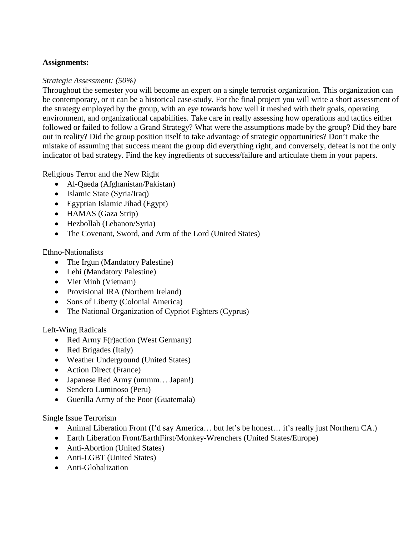# **Assignments:**

#### *Strategic Assessment: (50%)*

Throughout the semester you will become an expert on a single terrorist organization. This organization can be contemporary, or it can be a historical case-study. For the final project you will write a short assessment of the strategy employed by the group, with an eye towards how well it meshed with their goals, operating environment, and organizational capabilities. Take care in really assessing how operations and tactics either followed or failed to follow a Grand Strategy? What were the assumptions made by the group? Did they bare out in reality? Did the group position itself to take advantage of strategic opportunities? Don't make the mistake of assuming that success meant the group did everything right, and conversely, defeat is not the only indicator of bad strategy. Find the key ingredients of success/failure and articulate them in your papers.

Religious Terror and the New Right

- Al-Qaeda (Afghanistan/Pakistan)
- Islamic State (Svria/Iraq)
- Egyptian Islamic Jihad (Egypt)
- HAMAS (Gaza Strip)
- Hezbollah (Lebanon/Syria)
- The Covenant, Sword, and Arm of the Lord (United States)

#### Ethno-Nationalists

- The Irgun (Mandatory Palestine)
- Lehi (Mandatory Palestine)
- Viet Minh (Vietnam)
- Provisional IRA (Northern Ireland)
- Sons of Liberty (Colonial America)
- The National Organization of Cypriot Fighters (Cyprus)

# Left-Wing Radicals

- Red Army F(r)action (West Germany)
- Red Brigades (Italy)
- Weather Underground (United States)
- Action Direct (France)
- Japanese Red Army (ummm… Japan!)
- Sendero Luminoso (Peru)
- Guerilla Army of the Poor (Guatemala)

# Single Issue Terrorism

- Animal Liberation Front (I'd say America... but let's be honest... it's really just Northern CA.)
- Earth Liberation Front/EarthFirst/Monkey-Wrenchers (United States/Europe)
- Anti-Abortion (United States)
- Anti-LGBT (United States)
- Anti-Globalization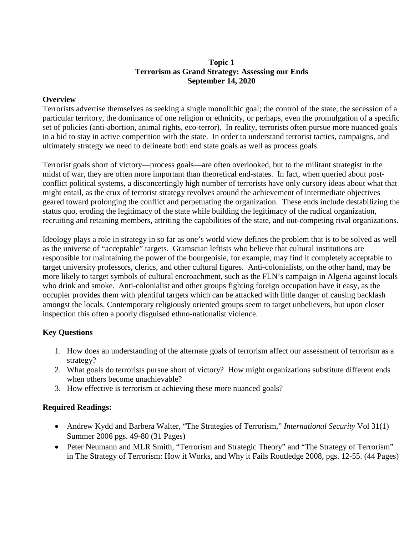# **Topic 1 Terrorism as Grand Strategy: Assessing our Ends September 14, 2020**

### **Overview**

Terrorists advertise themselves as seeking a single monolithic goal; the control of the state, the secession of a particular territory, the dominance of one religion or ethnicity, or perhaps, even the promulgation of a specific set of policies (anti-abortion, animal rights, eco-terror). In reality, terrorists often pursue more nuanced goals in a bid to stay in active competition with the state. In order to understand terrorist tactics, campaigns, and ultimately strategy we need to delineate both end state goals as well as process goals.

Terrorist goals short of victory—process goals—are often overlooked, but to the militant strategist in the midst of war, they are often more important than theoretical end-states. In fact, when queried about postconflict political systems, a disconcertingly high number of terrorists have only cursory ideas about what that might entail, as the crux of terrorist strategy revolves around the achievement of intermediate objectives geared toward prolonging the conflict and perpetuating the organization. These ends include destabilizing the status quo, eroding the legitimacy of the state while building the legitimacy of the radical organization, recruiting and retaining members, attriting the capabilities of the state, and out-competing rival organizations.

Ideology plays a role in strategy in so far as one's world view defines the problem that is to be solved as well as the universe of "acceptable" targets. Gramscian leftists who believe that cultural institutions are responsible for maintaining the power of the bourgeoisie, for example, may find it completely acceptable to target university professors, clerics, and other cultural figures. Anti-colonialists, on the other hand, may be more likely to target symbols of cultural encroachment, such as the FLN's campaign in Algeria against locals who drink and smoke. Anti-colonialist and other groups fighting foreign occupation have it easy, as the occupier provides them with plentiful targets which can be attacked with little danger of causing backlash amongst the locals. Contemporary religiously oriented groups seem to target unbelievers, but upon closer inspection this often a poorly disguised ethno-nationalist violence.

# **Key Questions**

- 1. How does an understanding of the alternate goals of terrorism affect our assessment of terrorism as a strategy?
- 2. What goals do terrorists pursue short of victory? How might organizations substitute different ends when others become unachievable?
- 3. How effective is terrorism at achieving these more nuanced goals?

- Andrew Kydd and Barbera Walter, "The Strategies of Terrorism," *International Security* Vol 31(1) Summer 2006 pgs. 49-80 (31 Pages)
- Peter Neumann and MLR Smith, "Terrorism and Strategic Theory" and "The Strategy of Terrorism" in The Strategy of Terrorism: How it Works, and Why it Fails Routledge 2008, pgs. 12-55. (44 Pages)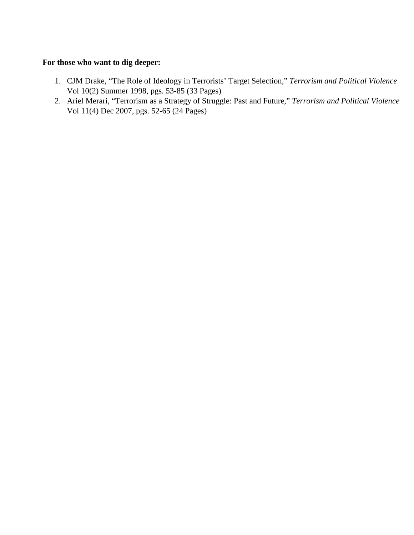#### **For those who want to dig deeper:**

- 1. CJM Drake, "The Role of Ideology in Terrorists' Target Selection," *Terrorism and Political Violence* Vol 10(2) Summer 1998, pgs. 53-85 (33 Pages)
- 2. Ariel Merari, "Terrorism as a Strategy of Struggle: Past and Future," *Terrorism and Political Violence* Vol 11(4) Dec 2007, pgs. 52-65 (24 Pages)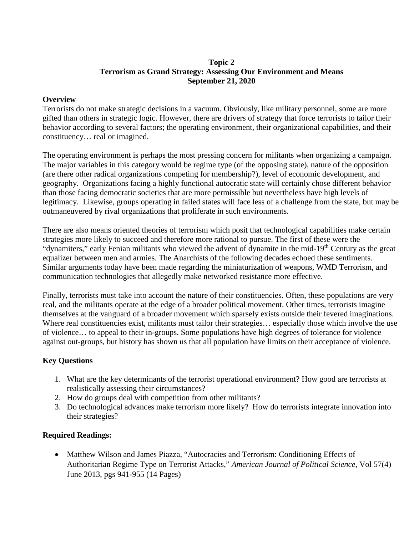# **Topic 2 Terrorism as Grand Strategy: Assessing Our Environment and Means September 21, 2020**

### **Overview**

Terrorists do not make strategic decisions in a vacuum. Obviously, like military personnel, some are more gifted than others in strategic logic. However, there are drivers of strategy that force terrorists to tailor their behavior according to several factors; the operating environment, their organizational capabilities, and their constituency… real or imagined.

The operating environment is perhaps the most pressing concern for militants when organizing a campaign. The major variables in this category would be regime type (of the opposing state), nature of the opposition (are there other radical organizations competing for membership?), level of economic development, and geography. Organizations facing a highly functional autocratic state will certainly chose different behavior than those facing democratic societies that are more permissible but nevertheless have high levels of legitimacy. Likewise, groups operating in failed states will face less of a challenge from the state, but may be outmaneuvered by rival organizations that proliferate in such environments.

There are also means oriented theories of terrorism which posit that technological capabilities make certain strategies more likely to succeed and therefore more rational to pursue. The first of these were the "dynamiters," early Fenian militants who viewed the advent of dynamite in the mid-19<sup>th</sup> Century as the great equalizer between men and armies. The Anarchists of the following decades echoed these sentiments. Similar arguments today have been made regarding the miniaturization of weapons, WMD Terrorism, and communication technologies that allegedly make networked resistance more effective.

Finally, terrorists must take into account the nature of their constituencies. Often, these populations are very real, and the militants operate at the edge of a broader political movement. Other times, terrorists imagine themselves at the vanguard of a broader movement which sparsely exists outside their fevered imaginations. Where real constituencies exist, militants must tailor their strategies... especially those which involve the use of violence… to appeal to their in-groups. Some populations have high degrees of tolerance for violence against out-groups, but history has shown us that all population have limits on their acceptance of violence.

# **Key Questions**

- 1. What are the key determinants of the terrorist operational environment? How good are terrorists at realistically assessing their circumstances?
- 2. How do groups deal with competition from other militants?
- 3. Do technological advances make terrorism more likely? How do terrorists integrate innovation into their strategies?

# **Required Readings:**

• Matthew Wilson and James Piazza, "Autocracies and Terrorism: Conditioning Effects of Authoritarian Regime Type on Terrorist Attacks," *American Journal of Political Science*, Vol 57(4) June 2013, pgs 941-955 (14 Pages)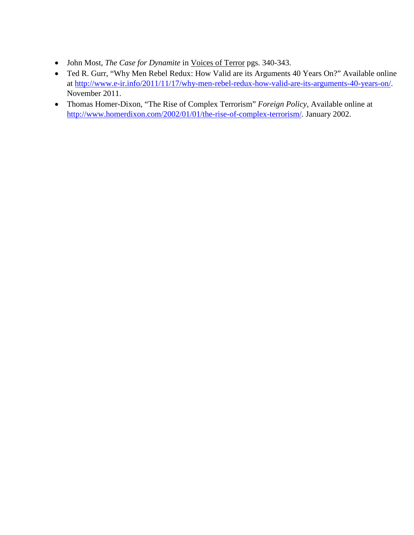- John Most, *The Case for Dynamite* in Voices of Terror pgs. 340-343.
- Ted R. Gurr, "Why Men Rebel Redux: How Valid are its Arguments 40 Years On?" Available online at [http://www.e-ir.info/2011/11/17/why-men-rebel-redux-how-valid-are-its-arguments-40-years-on/.](http://www.e-ir.info/2011/11/17/why-men-rebel-redux-how-valid-are-its-arguments-40-years-on/) November 2011.
- Thomas Homer-Dixon, "The Rise of Complex Terrorism" *Foreign Policy*, Available online at [http://www.homerdixon.com/2002/01/01/the-rise-of-complex-terrorism/.](http://www.homerdixon.com/2002/01/01/the-rise-of-complex-terrorism/) January 2002.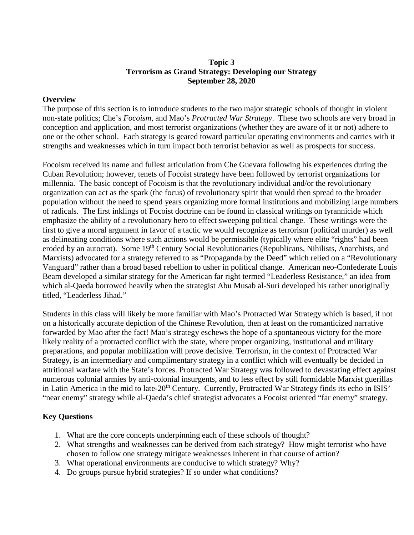# **Topic 3 Terrorism as Grand Strategy: Developing our Strategy September 28, 2020**

### **Overview**

The purpose of this section is to introduce students to the two major strategic schools of thought in violent non-state politics; Che's *Focoism*, and Mao's *Protracted War Strategy*. These two schools are very broad in conception and application, and most terrorist organizations (whether they are aware of it or not) adhere to one or the other school. Each strategy is geared toward particular operating environments and carries with it strengths and weaknesses which in turn impact both terrorist behavior as well as prospects for success.

Focoism received its name and fullest articulation from Che Guevara following his experiences during the Cuban Revolution; however, tenets of Focoist strategy have been followed by terrorist organizations for millennia. The basic concept of Focoism is that the revolutionary individual and/or the revolutionary organization can act as the spark (the focus) of revolutionary spirit that would then spread to the broader population without the need to spend years organizing more formal institutions and mobilizing large numbers of radicals. The first inklings of Focoist doctrine can be found in classical writings on tyrannicide which emphasize the ability of a revolutionary hero to effect sweeping political change. These writings were the first to give a moral argument in favor of a tactic we would recognize as terrorism (political murder) as well as delineating conditions where such actions would be permissible (typically where elite "rights" had been eroded by an autocrat). Some 19<sup>th</sup> Century Social Revolutionaries (Republicans, Nihilists, Anarchists, and Marxists) advocated for a strategy referred to as "Propaganda by the Deed" which relied on a "Revolutionary Vanguard" rather than a broad based rebellion to usher in political change. American neo-Confederate Louis Beam developed a similar strategy for the American far right termed "Leaderless Resistance," an idea from which al-Qaeda borrowed heavily when the strategist Abu Musab al-Suri developed his rather unoriginally titled, "Leaderless Jihad."

Students in this class will likely be more familiar with Mao's Protracted War Strategy which is based, if not on a historically accurate depiction of the Chinese Revolution, then at least on the romanticized narrative forwarded by Mao after the fact! Mao's strategy eschews the hope of a spontaneous victory for the more likely reality of a protracted conflict with the state, where proper organizing, institutional and military preparations, and popular mobilization will prove decisive. Terrorism, in the context of Protracted War Strategy, is an intermediary and complimentary strategy in a conflict which will eventually be decided in attritional warfare with the State's forces. Protracted War Strategy was followed to devastating effect against numerous colonial armies by anti-colonial insurgents, and to less effect by still formidable Marxist guerillas in Latin America in the mid to late-20<sup>th</sup> Century. Currently, Protracted War Strategy finds its echo in ISIS' "near enemy" strategy while al-Qaeda's chief strategist advocates a Focoist oriented "far enemy" strategy.

# **Key Questions**

- 1. What are the core concepts underpinning each of these schools of thought?
- 2. What strengths and weaknesses can be derived from each strategy? How might terrorist who have chosen to follow one strategy mitigate weaknesses inherent in that course of action?
- 3. What operational environments are conducive to which strategy? Why?
- 4. Do groups pursue hybrid strategies? If so under what conditions?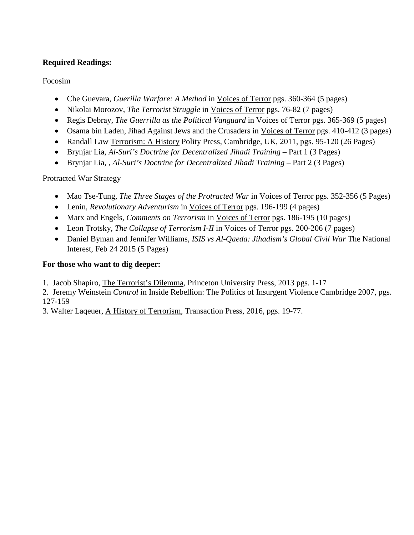# **Required Readings:**

Focosim

- Che Guevara, *Guerilla Warfare: A Method* in Voices of Terror pgs. 360-364 (5 pages)
- Nikolai Morozov, *The Terrorist Struggle* in Voices of Terror pgs. 76-82 (7 pages)
- Regis Debray, *The Guerrilla as the Political Vanguard* in Voices of Terror pgs. 365-369 (5 pages)
- Osama bin Laden, Jihad Against Jews and the Crusaders in Voices of Terror pgs. 410-412 (3 pages)
- Randall Law Terrorism: A History Polity Press, Cambridge, UK, 2011, pgs. 95-120 (26 Pages)
- Brynjar Lia, *Al-Suri's Doctrine for Decentralized Jihadi Training* Part 1 (3 Pages)
- Brynjar Lia, , *Al-Suri's Doctrine for Decentralized Jihadi Training* Part 2 (3 Pages)

Protracted War Strategy

- Mao Tse-Tung, *The Three Stages of the Protracted War* in *Voices of Terror pgs.* 352-356 (5 Pages)
- Lenin, *Revolutionary Adventurism* in Voices of Terror pgs. 196-199 (4 pages)
- Marx and Engels, *Comments on Terrorism* in Voices of Terror pgs. 186-195 (10 pages)
- Leon Trotsky, *The Collapse of Terrorism I-II* in Voices of Terror pgs. 200-206 (7 pages)
- Daniel Byman and Jennifer Williams, *ISIS vs Al-Qaeda: Jihadism's Global Civil War* The National Interest, Feb 24 2015 (5 Pages)

# **For those who want to dig deeper:**

1. Jacob Shapiro, The Terrorist's Dilemma, Princeton University Press, 2013 pgs. 1-17

2. Jeremy Weinstein *Control* in Inside Rebellion: The Politics of Insurgent Violence Cambridge 2007, pgs. 127-159

3. Walter Laqeuer, A History of Terrorism, Transaction Press, 2016, pgs. 19-77.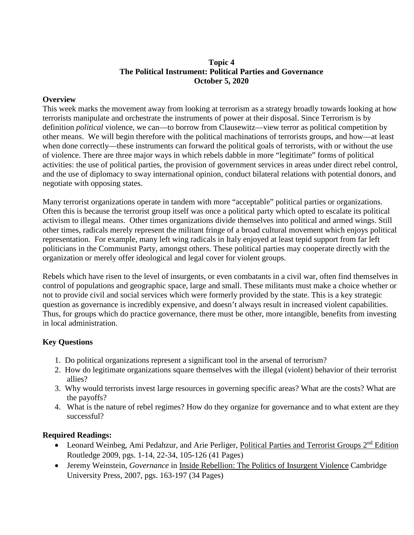# **Topic 4 The Political Instrument: Political Parties and Governance October 5, 2020**

### **Overview**

This week marks the movement away from looking at terrorism as a strategy broadly towards looking at how terrorists manipulate and orchestrate the instruments of power at their disposal. Since Terrorism is by definition *political* violence, we can—to borrow from Clausewitz—view terror as political competition by other means. We will begin therefore with the political machinations of terrorists groups, and how—at least when done correctly—these instruments can forward the political goals of terrorists, with or without the use of violence. There are three major ways in which rebels dabble in more "legitimate" forms of political activities: the use of political parties, the provision of government services in areas under direct rebel control, and the use of diplomacy to sway international opinion, conduct bilateral relations with potential donors, and negotiate with opposing states.

Many terrorist organizations operate in tandem with more "acceptable" political parties or organizations. Often this is because the terrorist group itself was once a political party which opted to escalate its political activism to illegal means. Other times organizations divide themselves into political and armed wings. Still other times, radicals merely represent the militant fringe of a broad cultural movement which enjoys political representation. For example, many left wing radicals in Italy enjoyed at least tepid support from far left politicians in the Communist Party, amongst others. These political parties may cooperate directly with the organization or merely offer ideological and legal cover for violent groups.

Rebels which have risen to the level of insurgents, or even combatants in a civil war, often find themselves in control of populations and geographic space, large and small. These militants must make a choice whether or not to provide civil and social services which were formerly provided by the state. This is a key strategic question as governance is incredibly expensive, and doesn't always result in increased violent capabilities. Thus, for groups which do practice governance, there must be other, more intangible, benefits from investing in local administration.

# **Key Questions**

- 1. Do political organizations represent a significant tool in the arsenal of terrorism?
- 2. How do legitimate organizations square themselves with the illegal (violent) behavior of their terrorist allies?
- 3. Why would terrorists invest large resources in governing specific areas? What are the costs? What are the payoffs?
- 4. What is the nature of rebel regimes? How do they organize for governance and to what extent are they successful?

- Leonard Weinbeg, Ami Pedahzur, and Arie Perliger, Political Parties and Terrorist Groups 2<sup>nd</sup> Edition Routledge 2009, pgs. 1-14, 22-34, 105-126 (41 Pages)
- Jeremy Weinstein, *Governance* in Inside Rebellion: The Politics of Insurgent Violence Cambridge University Press, 2007, pgs. 163-197 (34 Pages)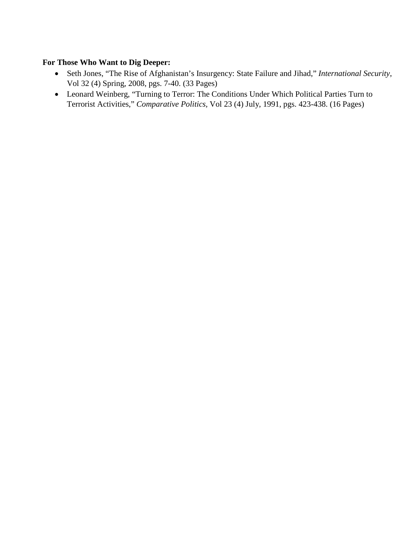# **For Those Who Want to Dig Deeper:**

- Seth Jones, "The Rise of Afghanistan's Insurgency: State Failure and Jihad," *International Security*, Vol 32 (4) Spring, 2008, pgs. 7-40. (33 Pages)
- Leonard Weinberg, "Turning to Terror: The Conditions Under Which Political Parties Turn to Terrorist Activities," *Comparative Politics,* Vol 23 (4) July, 1991, pgs. 423-438. (16 Pages)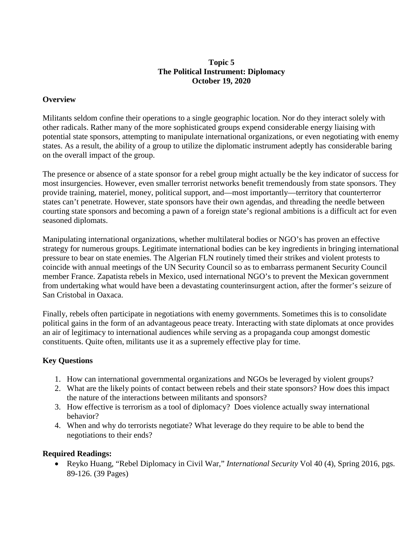### **Topic 5 The Political Instrument: Diplomacy October 19, 2020**

# **Overview**

Militants seldom confine their operations to a single geographic location. Nor do they interact solely with other radicals. Rather many of the more sophisticated groups expend considerable energy liaising with potential state sponsors, attempting to manipulate international organizations, or even negotiating with enemy states. As a result, the ability of a group to utilize the diplomatic instrument adeptly has considerable baring on the overall impact of the group.

The presence or absence of a state sponsor for a rebel group might actually be the key indicator of success for most insurgencies. However, even smaller terrorist networks benefit tremendously from state sponsors. They provide training, materiel, money, political support, and—most importantly—territory that counterterror states can't penetrate. However, state sponsors have their own agendas, and threading the needle between courting state sponsors and becoming a pawn of a foreign state's regional ambitions is a difficult act for even seasoned diplomats.

Manipulating international organizations, whether multilateral bodies or NGO's has proven an effective strategy for numerous groups. Legitimate international bodies can be key ingredients in bringing international pressure to bear on state enemies. The Algerian FLN routinely timed their strikes and violent protests to coincide with annual meetings of the UN Security Council so as to embarrass permanent Security Council member France. Zapatista rebels in Mexico, used international NGO's to prevent the Mexican government from undertaking what would have been a devastating counterinsurgent action, after the former's seizure of San Cristobal in Oaxaca.

Finally, rebels often participate in negotiations with enemy governments. Sometimes this is to consolidate political gains in the form of an advantageous peace treaty. Interacting with state diplomats at once provides an air of legitimacy to international audiences while serving as a propaganda coup amongst domestic constituents. Quite often, militants use it as a supremely effective play for time.

# **Key Questions**

- 1. How can international governmental organizations and NGOs be leveraged by violent groups?
- 2. What are the likely points of contact between rebels and their state sponsors? How does this impact the nature of the interactions between militants and sponsors?
- 3. How effective is terrorism as a tool of diplomacy? Does violence actually sway international behavior?
- 4. When and why do terrorists negotiate? What leverage do they require to be able to bend the negotiations to their ends?

# **Required Readings:**

• Reyko Huang, "Rebel Diplomacy in Civil War," *International Security* Vol 40 (4), Spring 2016, pgs. 89-126. (39 Pages)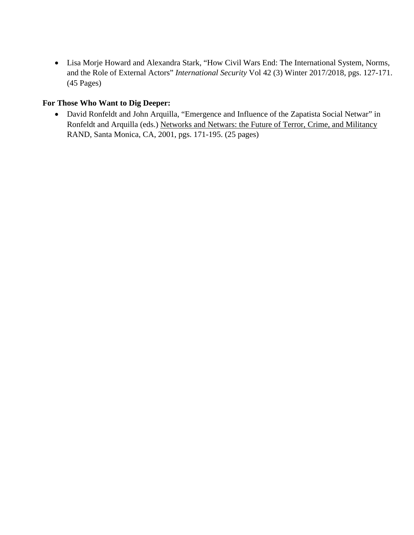• Lisa Morje Howard and Alexandra Stark, "How Civil Wars End: The International System, Norms, and the Role of External Actors" *International Security* Vol 42 (3) Winter 2017/2018, pgs. 127-171. (45 Pages)

# **For Those Who Want to Dig Deeper:**

• David Ronfeldt and John Arquilla, "Emergence and Influence of the Zapatista Social Netwar" in Ronfeldt and Arquilla (eds.) Networks and Netwars: the Future of Terror, Crime, and Militancy RAND, Santa Monica, CA, 2001, pgs. 171-195. (25 pages)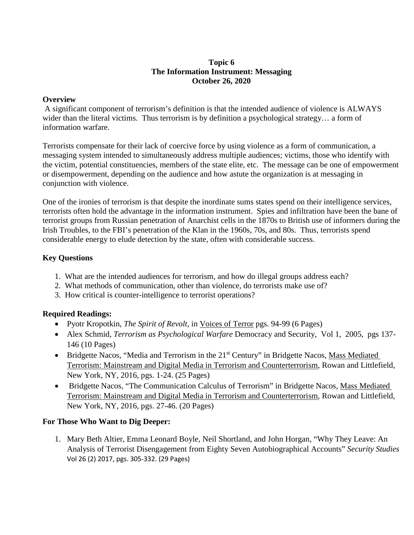# **Topic 6 The Information Instrument: Messaging October 26, 2020**

### **Overview**

A significant component of terrorism's definition is that the intended audience of violence is ALWAYS wider than the literal victims. Thus terrorism is by definition a psychological strategy... a form of information warfare.

Terrorists compensate for their lack of coercive force by using violence as a form of communication, a messaging system intended to simultaneously address multiple audiences; victims, those who identify with the victim, potential constituencies, members of the state elite, etc. The message can be one of empowerment or disempowerment, depending on the audience and how astute the organization is at messaging in conjunction with violence.

One of the ironies of terrorism is that despite the inordinate sums states spend on their intelligence services, terrorists often hold the advantage in the information instrument. Spies and infiltration have been the bane of terrorist groups from Russian penetration of Anarchist cells in the 1870s to British use of informers during the Irish Troubles, to the FBI's penetration of the Klan in the 1960s, 70s, and 80s. Thus, terrorists spend considerable energy to elude detection by the state, often with considerable success.

# **Key Questions**

- 1. What are the intended audiences for terrorism, and how do illegal groups address each?
- 2. What methods of communication, other than violence, do terrorists make use of?
- 3. How critical is counter-intelligence to terrorist operations?

# **Required Readings:**

- Pyotr Kropotkin, *The Spirit of Revolt,* in Voices of Terror pgs. 94-99 (6 Pages)
- Alex Schmid, *Terrorism as Psychological Warfare* Democracy and Security, Vol 1, 2005, pgs 137- 146 (10 Pages)
- Bridgette Nacos, "Media and Terrorism in the 21<sup>st</sup> Century" in Bridgette Nacos, Mass Mediated Terrorism: Mainstream and Digital Media in Terrorism and Counterterrorism, Rowan and Littlefield, New York, NY, 2016, pgs. 1-24. (25 Pages)
- Bridgette Nacos, "The Communication Calculus of Terrorism" in Bridgette Nacos, Mass Mediated Terrorism: Mainstream and Digital Media in Terrorism and Counterterrorism, Rowan and Littlefield, New York, NY, 2016, pgs. 27-46. (20 Pages)

# **For Those Who Want to Dig Deeper:**

1. Mary Beth Altier, Emma Leonard Boyle, Neil Shortland, and John Horgan, "Why They Leave: An Analysis of Terrorist Disengagement from Eighty Seven Autobiographical Accounts" *Security Studies*  Vol 26 (2) 2017, pgs. 305-332. (29 Pages)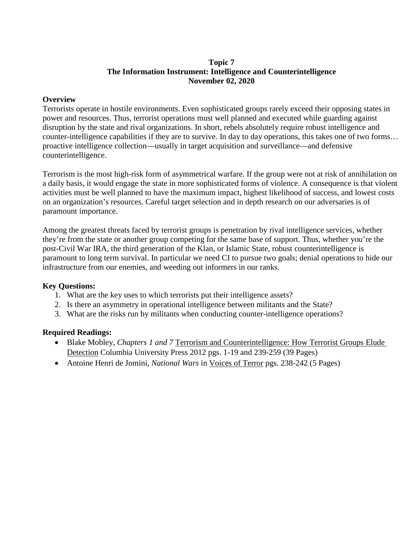# **Topic 7 The Information Instrument: Intelligence and Counterintelligence November 02, 2020**

# **Overview**

Terrorists operate in hostile environments. Even sophisticated groups rarely exceed their opposing states in power and resources. Thus, terrorist operations must well planned and executed while guarding against disruption by the state and rival organizations. In short, rebels absolutely require robust intelligence and counter-intelligence capabilities if they are to survive. In day to day operations, this takes one of two forms… proactive intelligence collection—usually in target acquisition and surveillance—and defensive counterintelligence.

Terrorism is the most high-risk form of asymmetrical warfare. If the group were not at risk of annihilation on a daily basis, it would engage the state in more sophisticated forms of violence. A consequence is that violent activities must be well planned to have the maximum impact, highest likelihood of success, and lowest costs on an organization's resources. Careful target selection and in depth research on our adversaries is of paramount importance.

Among the greatest threats faced by terrorist groups is penetration by rival intelligence services, whether they're from the state or another group competing for the same base of support. Thus, whether you're the post-Civil War IRA, the third generation of the Klan, or Islamic State, robust counterintelligence is paramount to long term survival. In particular we need CI to pursue two goals; denial operations to hide our infrastructure from our enemies, and weeding out informers in our ranks.

# **Key Questions:**

- 1. What are the key uses to which terrorists put their intelligence assets?
- 2. Is there an asymmetry in operational intelligence between militants and the State?
- 3. What are the risks run by militants when conducting counter-intelligence operations?

- Blake Mobley, *Chapters 1 and 7* Terrorism and Counterintelligence: How Terrorist Groups Elude Detection Columbia University Press 2012 pgs. 1-19 and 239-259 (39 Pages)
- Antoine Henri de Jomini, *National Wars* in <u>Voices of Terror</u> pgs. 238-242 (5 Pages)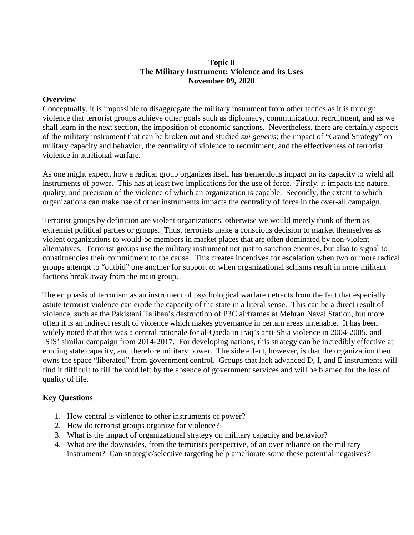### **Topic 8 The Military Instrument: Violence and its Uses November 09, 2020**

#### **Overview**

Conceptually, it is impossible to disaggregate the military instrument from other tactics as it is through violence that terrorist groups achieve other goals such as diplomacy, communication, recruitment, and as we shall learn in the next section, the imposition of economic sanctions. Nevertheless, there are certainly aspects of the military instrument that can be broken out and studied *sui generis*; the impact of "Grand Strategy" on military capacity and behavior, the centrality of violence to recruitment, and the effectiveness of terrorist violence in attritional warfare.

As one might expect, how a radical group organizes itself has tremendous impact on its capacity to wield all instruments of power. This has at least two implications for the use of force. Firstly, it impacts the nature, quality, and precision of the violence of which an organization is capable. Secondly, the extent to which organizations can make use of other instruments impacts the centrality of force in the over-all campaign.

Terrorist groups by definition are violent organizations, otherwise we would merely think of them as extremist political parties or groups. Thus, terrorists make a conscious decision to market themselves as violent organizations to would-be members in market places that are often dominated by non-violent alternatives. Terrorist groups use the military instrument not just to sanction enemies, but also to signal to constituencies their commitment to the cause. This creates incentives for escalation when two or more radical groups attempt to "outbid" one another for support or when organizational schisms result in more militant factions break away from the main group.

The emphasis of terrorism as an instrument of psychological warfare detracts from the fact that especially astute terrorist violence can erode the capacity of the state in a literal sense. This can be a direct result of violence, such as the Pakistani Taliban's destruction of P3C airframes at Mehran Naval Station, but more often it is an indirect result of violence which makes governance in certain areas untenable. It has been widely noted that this was a central rationale for al-Qaeda in Iraq's anti-Shia violence in 2004-2005, and ISIS' similar campaign from 2014-2017. For developing nations, this strategy can be incredibly effective at eroding state capacity, and therefore military power. The side effect, however, is that the organization then owns the space "liberated" from government control. Groups that lack advanced D, I, and E instruments will find it difficult to fill the void left by the absence of government services and will be blamed for the loss of quality of life.

# **Key Questions**

- 1. How central is violence to other instruments of power?
- 2. How do terrorist groups organize for violence?
- 3. What is the impact of organizational strategy on military capacity and behavior?
- 4. What are the downsides, from the terrorists perspective, of an over reliance on the military instrument? Can strategic/selective targeting help ameliorate some these potential negatives?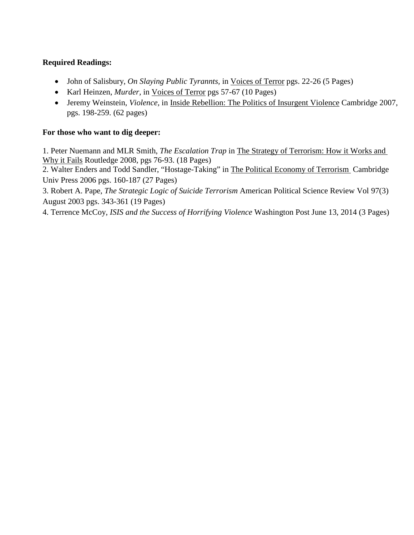# **Required Readings:**

- John of Salisbury, *On Slaying Public Tyrannts*, in Voices of Terror pgs. 22-26 (5 Pages)
- Karl Heinzen, *Murder,* in Voices of Terror pgs 57-67 (10 Pages)
- Jeremy Weinstein, *Violence,* in Inside Rebellion: The Politics of Insurgent Violence Cambridge 2007, pgs. 198-259. (62 pages)

# **For those who want to dig deeper:**

1. Peter Nuemann and MLR Smith, *The Escalation Trap* in The Strategy of Terrorism: How it Works and Why it Fails Routledge 2008, pgs 76-93. (18 Pages)

2. Walter Enders and Todd Sandler, "Hostage-Taking" in The Political Economy of Terrorism Cambridge Univ Press 2006 pgs. 160-187 (27 Pages)

3. Robert A. Pape, *The Strategic Logic of Suicide Terrorism* American Political Science Review Vol 97(3) August 2003 pgs. 343-361 (19 Pages)

4. Terrence McCoy, *ISIS and the Success of Horrifying Violence* Washington Post June 13, 2014 (3 Pages)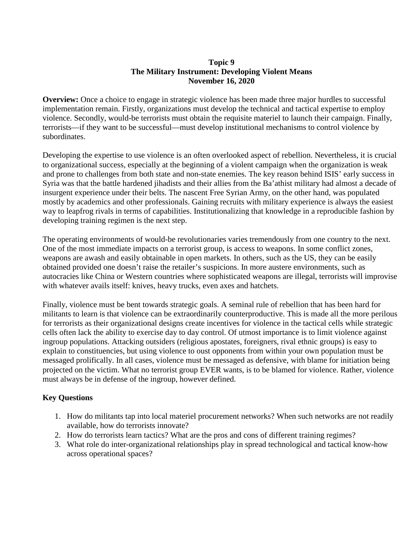# **Topic 9 The Military Instrument: Developing Violent Means November 16, 2020**

**Overview:** Once a choice to engage in strategic violence has been made three major hurdles to successful implementation remain. Firstly, organizations must develop the technical and tactical expertise to employ violence. Secondly, would-be terrorists must obtain the requisite materiel to launch their campaign. Finally, terrorists—if they want to be successful—must develop institutional mechanisms to control violence by subordinates.

Developing the expertise to use violence is an often overlooked aspect of rebellion. Nevertheless, it is crucial to organizational success, especially at the beginning of a violent campaign when the organization is weak and prone to challenges from both state and non-state enemies. The key reason behind ISIS' early success in Syria was that the battle hardened jihadists and their allies from the Ba'athist military had almost a decade of insurgent experience under their belts. The nascent Free Syrian Army, on the other hand, was populated mostly by academics and other professionals. Gaining recruits with military experience is always the easiest way to leapfrog rivals in terms of capabilities. Institutionalizing that knowledge in a reproducible fashion by developing training regimen is the next step.

The operating environments of would-be revolutionaries varies tremendously from one country to the next. One of the most immediate impacts on a terrorist group, is access to weapons. In some conflict zones, weapons are awash and easily obtainable in open markets. In others, such as the US, they can be easily obtained provided one doesn't raise the retailer's suspicions. In more austere environments, such as autocracies like China or Western countries where sophisticated weapons are illegal, terrorists will improvise with whatever avails itself: knives, heavy trucks, even axes and hatchets.

Finally, violence must be bent towards strategic goals. A seminal rule of rebellion that has been hard for militants to learn is that violence can be extraordinarily counterproductive. This is made all the more perilous for terrorists as their organizational designs create incentives for violence in the tactical cells while strategic cells often lack the ability to exercise day to day control. Of utmost importance is to limit violence against ingroup populations. Attacking outsiders (religious apostates, foreigners, rival ethnic groups) is easy to explain to constituencies, but using violence to oust opponents from within your own population must be messaged prolifically. In all cases, violence must be messaged as defensive, with blame for initiation being projected on the victim. What no terrorist group EVER wants, is to be blamed for violence. Rather, violence must always be in defense of the ingroup, however defined.

# **Key Questions**

- 1. How do militants tap into local materiel procurement networks? When such networks are not readily available, how do terrorists innovate?
- 2. How do terrorists learn tactics? What are the pros and cons of different training regimes?
- 3. What role do inter-organizational relationships play in spread technological and tactical know-how across operational spaces?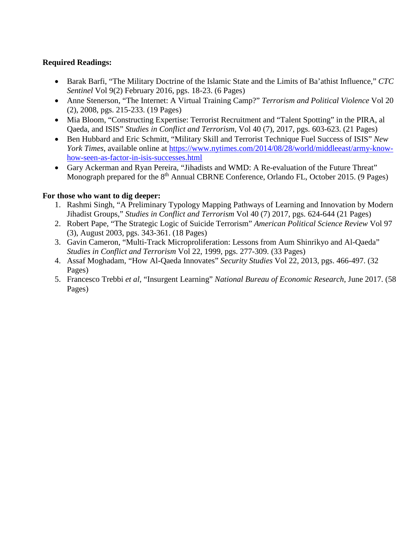# **Required Readings:**

- Barak Barfi, "The Military Doctrine of the Islamic State and the Limits of Ba'athist Influence," *CTC Sentinel* Vol 9(2) February 2016, pgs. 18-23. (6 Pages)
- Anne Stenerson, "The Internet: A Virtual Training Camp?" *Terrorism and Political Violence* Vol 20 (2), 2008, pgs. 215-233. (19 Pages)
- Mia Bloom, "Constructing Expertise: Terrorist Recruitment and "Talent Spotting" in the PIRA, al Qaeda, and ISIS" *Studies in Conflict and Terrorism*, Vol 40 (7), 2017, pgs. 603-623. (21 Pages)
- Ben Hubbard and Eric Schmitt, "Military Skill and Terrorist Technique Fuel Success of ISIS" *New York Times*, available online at [https://www.nytimes.com/2014/08/28/world/middleeast/army-know](https://www.nytimes.com/2014/08/28/world/middleeast/army-know-how-seen-as-factor-in-isis-successes.html)[how-seen-as-factor-in-isis-successes.html](https://www.nytimes.com/2014/08/28/world/middleeast/army-know-how-seen-as-factor-in-isis-successes.html)
- Gary Ackerman and Ryan Pereira, "Jihadists and WMD: A Re-evaluation of the Future Threat" Monograph prepared for the 8<sup>th</sup> Annual CBRNE Conference, Orlando FL, October 2015. (9 Pages)

# **For those who want to dig deeper:**

- 1. Rashmi Singh, "A Preliminary Typology Mapping Pathways of Learning and Innovation by Modern Jihadist Groups," *Studies in Conflict and Terrorism* Vol 40 (7) 2017, pgs. 624-644 (21 Pages)
- 2. Robert Pape, "The Strategic Logic of Suicide Terrorism" *American Political Science Review* Vol 97 (3), August 2003, pgs. 343-361. (18 Pages)
- 3. Gavin Cameron, "Multi-Track Microproliferation: Lessons from Aum Shinrikyo and Al-Qaeda" *Studies in Conflict and Terrorism* Vol 22, 1999, pgs. 277-309. (33 Pages)
- 4. Assaf Moghadam, "How Al-Qaeda Innovates" *Security Studies* Vol 22, 2013, pgs. 466-497. (32 Pages)
- 5. Francesco Trebbi *et al*, "Insurgent Learning" *National Bureau of Economic Research*, June 2017. (58 Pages)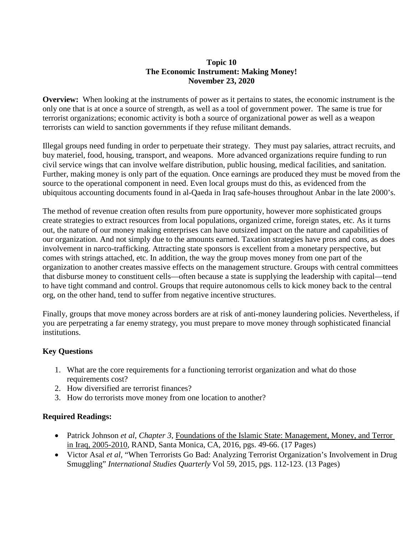# **Topic 10 The Economic Instrument: Making Money! November 23, 2020**

**Overview:** When looking at the instruments of power as it pertains to states, the economic instrument is the only one that is at once a source of strength, as well as a tool of government power. The same is true for terrorist organizations; economic activity is both a source of organizational power as well as a weapon terrorists can wield to sanction governments if they refuse militant demands.

Illegal groups need funding in order to perpetuate their strategy. They must pay salaries, attract recruits, and buy materiel, food, housing, transport, and weapons. More advanced organizations require funding to run civil service wings that can involve welfare distribution, public housing, medical facilities, and sanitation. Further, making money is only part of the equation. Once earnings are produced they must be moved from the source to the operational component in need. Even local groups must do this, as evidenced from the ubiquitous accounting documents found in al-Qaeda in Iraq safe-houses throughout Anbar in the late 2000's.

The method of revenue creation often results from pure opportunity, however more sophisticated groups create strategies to extract resources from local populations, organized crime, foreign states, etc. As it turns out, the nature of our money making enterprises can have outsized impact on the nature and capabilities of our organization. And not simply due to the amounts earned. Taxation strategies have pros and cons, as does involvement in narco-trafficking. Attracting state sponsors is excellent from a monetary perspective, but comes with strings attached, etc. In addition, the way the group moves money from one part of the organization to another creates massive effects on the management structure. Groups with central committees that disburse money to constituent cells—often because a state is supplying the leadership with capital—tend to have tight command and control. Groups that require autonomous cells to kick money back to the central org, on the other hand, tend to suffer from negative incentive structures.

Finally, groups that move money across borders are at risk of anti-money laundering policies. Nevertheless, if you are perpetrating a far enemy strategy, you must prepare to move money through sophisticated financial institutions.

# **Key Questions**

- 1. What are the core requirements for a functioning terrorist organization and what do those requirements cost?
- 2. How diversified are terrorist finances?
- 3. How do terrorists move money from one location to another?

- Patrick Johnson *et al*, *Chapter 3*, Foundations of the Islamic State: Management, Money, and Terror in Iraq, 2005-2010, RAND, Santa Monica, CA, 2016, pgs. 49-66. (17 Pages)
- Victor Asal *et al*, "When Terrorists Go Bad: Analyzing Terrorist Organization's Involvement in Drug Smuggling" *International Studies Quarterly* Vol 59, 2015, pgs. 112-123. (13 Pages)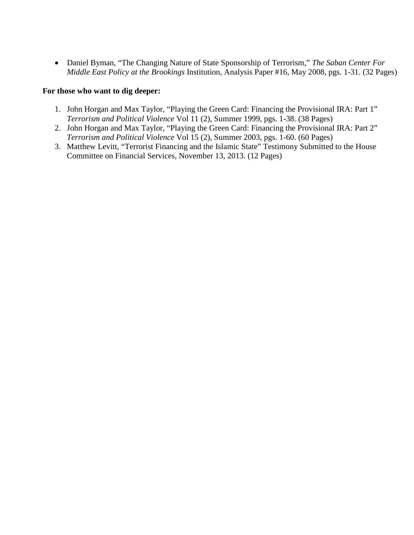• Daniel Byman, "The Changing Nature of State Sponsorship of Terrorism," *The Saban Center For Middle East Policy at the Brookings* Institution, Analysis Paper #16, May 2008, pgs. 1-31. (32 Pages)

#### **For those who want to dig deeper:**

- 1. John Horgan and Max Taylor, "Playing the Green Card: Financing the Provisional IRA: Part 1" *Terrorism and Political Violence* Vol 11 (2), Summer 1999, pgs. 1-38. (38 Pages)
- 2. John Horgan and Max Taylor, "Playing the Green Card: Financing the Provisional IRA: Part 2" *Terrorism and Political Violence* Vol 15 (2), Summer 2003, pgs. 1-60. (60 Pages)
- 3. Matthew Levitt, "Terrorist Financing and the Islamic State" Testimony Submitted to the House Committee on Financial Services, November 13, 2013. (12 Pages)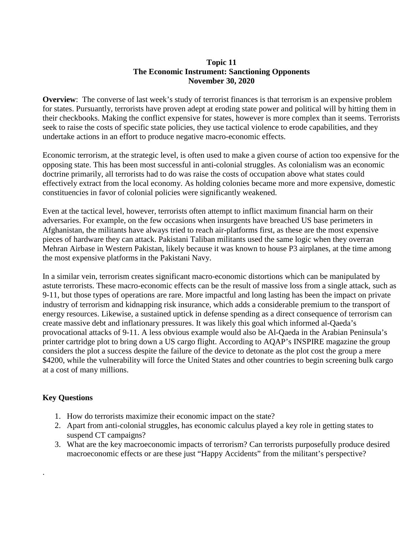# **Topic 11 The Economic Instrument: Sanctioning Opponents November 30, 2020**

**Overview**: The converse of last week's study of terrorist finances is that terrorism is an expensive problem for states. Pursuantly, terrorists have proven adept at eroding state power and political will by hitting them in their checkbooks. Making the conflict expensive for states, however is more complex than it seems. Terrorists seek to raise the costs of specific state policies, they use tactical violence to erode capabilities, and they undertake actions in an effort to produce negative macro-economic effects.

Economic terrorism, at the strategic level, is often used to make a given course of action too expensive for the opposing state. This has been most successful in anti-colonial struggles. As colonialism was an economic doctrine primarily, all terrorists had to do was raise the costs of occupation above what states could effectively extract from the local economy. As holding colonies became more and more expensive, domestic constituencies in favor of colonial policies were significantly weakened.

Even at the tactical level, however, terrorists often attempt to inflict maximum financial harm on their adversaries. For example, on the few occasions when insurgents have breached US base perimeters in Afghanistan, the militants have always tried to reach air-platforms first, as these are the most expensive pieces of hardware they can attack. Pakistani Taliban militants used the same logic when they overran Mehran Airbase in Western Pakistan, likely because it was known to house P3 airplanes, at the time among the most expensive platforms in the Pakistani Navy.

In a similar vein, terrorism creates significant macro-economic distortions which can be manipulated by astute terrorists. These macro-economic effects can be the result of massive loss from a single attack, such as 9-11, but those types of operations are rare. More impactful and long lasting has been the impact on private industry of terrorism and kidnapping risk insurance, which adds a considerable premium to the transport of energy resources. Likewise, a sustained uptick in defense spending as a direct consequence of terrorism can create massive debt and inflationary pressures. It was likely this goal which informed al-Qaeda's provocational attacks of 9-11. A less obvious example would also be Al-Qaeda in the Arabian Peninsula's printer cartridge plot to bring down a US cargo flight. According to AQAP's INSPIRE magazine the group considers the plot a success despite the failure of the device to detonate as the plot cost the group a mere \$4200, while the vulnerability will force the United States and other countries to begin screening bulk cargo at a cost of many millions.

# **Key Questions**

.

- 1. How do terrorists maximize their economic impact on the state?
- 2. Apart from anti-colonial struggles, has economic calculus played a key role in getting states to suspend CT campaigns?
- 3. What are the key macroeconomic impacts of terrorism? Can terrorists purposefully produce desired macroeconomic effects or are these just "Happy Accidents" from the militant's perspective?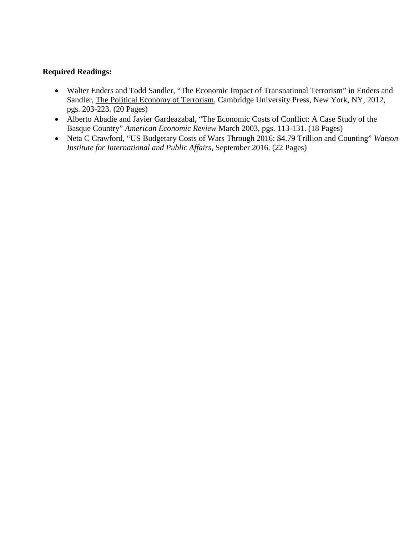- Walter Enders and Todd Sandler, "The Economic Impact of Transnational Terrorism" in Enders and Sandler, The Political Economy of Terrorism, Cambridge University Press, New York, NY, 2012, pgs. 203-223. (20 Pages)
- Alberto Abadie and Javier Gardeazabal, "The Economic Costs of Conflict: A Case Study of the Basque Country" *American Economic Review* March 2003, pgs. 113-131. (18 Pages)
- Neta C Crawford, "US Budgetary Costs of Wars Through 2016: \$4.79 Trillion and Counting" *Watson Institute for International and Public Affairs*, September 2016. (22 Pages)